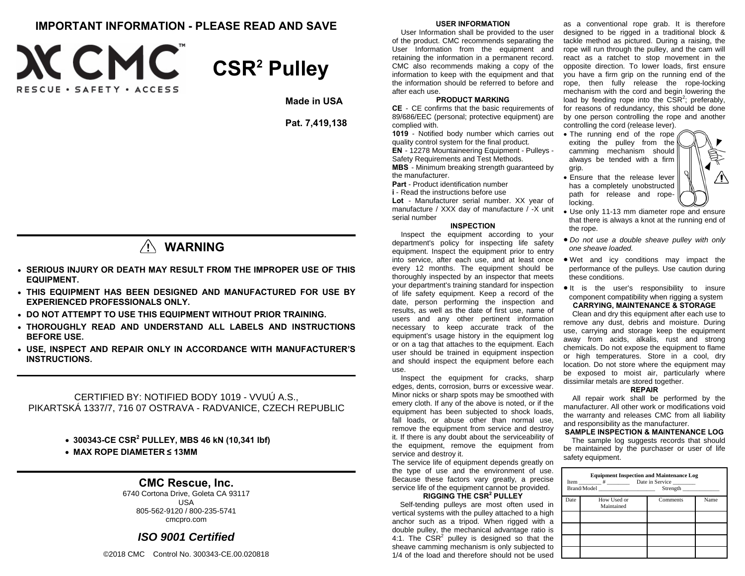## **IMPORTANT INFORMATION - PLEASE READ AND SAVE**





**Made in USA** 

**Pat. 7,419,138** 

## **WARNING**

- **SERIOUS INJURY OR DEATH MAY RESULT FROM THE IMPROPER USE OF THIS EQUIPMENT.**
- **THIS EQUIPMENT HAS BEEN DESIGNED AND MANUFACTURED FOR USE BY EXPERIENCED PROFESSIONALS ONLY.**
- **DO NOT ATTEMPT TO USE THIS EQUIPMENT WITHOUT PRIOR TRAINING.**
- **THOROUGHLY READ AND UNDERSTAND ALL LABELS AND INSTRUCTIONS BEFORE USE.**
- **USE, INSPECT AND REPAIR ONLY IN ACCORDANCE WITH MANUFACTURER'S INSTRUCTIONS.**

CERTIFIED BY: NOTIFIED BODY 1019 - VVUÚ A.S., PIKARTSKÁ 1337/7, 716 07 OSTRAVA - RADVANICE, CZECH REPUBLIC

**300343-CE CSR2 PULLEY, MBS 46 kN (10,341 lbf)** 

**MAX ROPE DIAMETER ≤ 13MM**

### **CMC Rescue, Inc.**

6740 Cortona Drive, Goleta CA 93117 USA 805-562-9120 / 800-235-5741 cmcpro.com

### *ISO 9001 Certified*

©2018 CMC Control No. 300343-CE.00.020818

### **USER INFORMATION**

 User Information shall be provided to the user of the product. CMC recommends separating the User Information from the equipment and retaining the information in a permanent record. CMC also recommends making a copy of the information to keep with the equipment and that the information should be referred to before and after each use.

### **PRODUCT MARKING**

**CE** - CE confirms that the basic requirements of 89/686/EEC (personal; protective equipment) are complied with.

**1019** - Notified body number which carries out quality control system for the final product. **EN** - 12278 Mountaineering Equipment - Pulleys - Safety Requirements and Test Methods. **MBS** - Minimum breaking strength guaranteed by

the manufacturer.

**Part** - Product identification number **i** - Read the instructions before use

**Lot** - Manufacturer serial number. XX year of manufacture / XXX day of manufacture / -X unit serial number

#### **INSPECTION**

 Inspect the equipment according to your department's policy for inspecting life safety equipment. Inspect the equipment prior to entry into service, after each use, and at least once every 12 months. The equipment should be thoroughly inspected by an inspector that meets your department's training standard for inspection of life safety equipment. Keep a record of the date, person performing the inspection and results, as well as the date of first use, name of users and any other pertinent information necessary to keep accurate track of the equipment's usage history in the equipment log or on a tag that attaches to the equipment. Each user should be trained in equipment inspection and should inspect the equipment before each use.

Inspect the equipment for cracks, sharp edges, dents, corrosion, burrs or excessive wear. Minor nicks or sharp spots may be smoothed with emery cloth. If any of the above is noted, or if the equipment has been subjected to shock loads, fall loads, or abuse other than normal use, remove the equipment from service and destroy it. If there is any doubt about the serviceability of the equipment, remove the equipment from service and destroy it.

The service life of equipment depends greatly on the type of use and the environment of use. Because these factors vary greatly, a precise service life of the equipment cannot be provided. **RIGGING THE CSR2 PULLEY** 

### Self-tending pulleys are most often used in vertical systems with the pulley attached to a high anchor such as a tripod. When rigged with a double pulley, the mechanical advantage ratio is 4:1. The  $CSR<sup>2</sup>$  pulley is designed so that the sheave camming mechanism is only subjected to 1/4 of the load and therefore should not be used

as a conventional rope grab. It is therefore designed to be rigged in a traditional block & tackle method as pictured. During a raising, the rope will run through the pulley, and the cam will react as a ratchet to stop movement in the opposite direction. To lower loads, first ensure you have a firm grip on the running end of the rope, then fully release the rope-locking mechanism with the cord and begin lowering the load by feeding rope into the  $\text{CSR}^2$ ; preferably, for reasons of redundancy, this should be done by one person controlling the rope and another controlling the cord (release lever).

- The running end of the rope exiting the pulley from the camming mechanism should always be tended with a firm grip.
- Ensure that the release lever has a completely unobstructed path for release and ropelocking.
- Use only 11-13 mm diameter rope and ensure that there is always a knot at the running end of the rope.
- *Do not use a double sheave pulley with only one sheave loaded.*
- Wet and icy conditions may impact the performance of the pulleys. Use caution during these conditions.
- $\bullet$  It is the user's responsibility to insure component compatibility when rigging a system **CARRYING, MAINTENANCE & STORAGE**

Clean and dry this equipment after each use to remove any dust, debris and moisture. During use, carrying and storage keep the equipment away from acids, alkalis, rust and strong chemicals. Do not expose the equipment to flame or high temperatures. Store in a cool, dry location. Do not store where the equipment may be exposed to moist air, particularly where dissimilar metals are stored together.

#### **REPAIR**

All repair work shall be performed by the manufacturer. All other work or modifications void the warranty and releases CMC from all liability and responsibility as the manufacturer.

### **SAMPLE INSPECTION & MAINTENANCE LOG**

The sample log suggests records that should be maintained by the purchaser or user of life safety equipment.

| <b>Equipment Inspection and Maintenance Log</b><br>Item # Date in Service<br>Brand/Model<br>Strength |                           |          |      |  |
|------------------------------------------------------------------------------------------------------|---------------------------|----------|------|--|
| Date                                                                                                 | How Used or<br>Maintained | Comments | Name |  |
|                                                                                                      |                           |          |      |  |
|                                                                                                      |                           |          |      |  |
|                                                                                                      |                           |          |      |  |
|                                                                                                      |                           |          |      |  |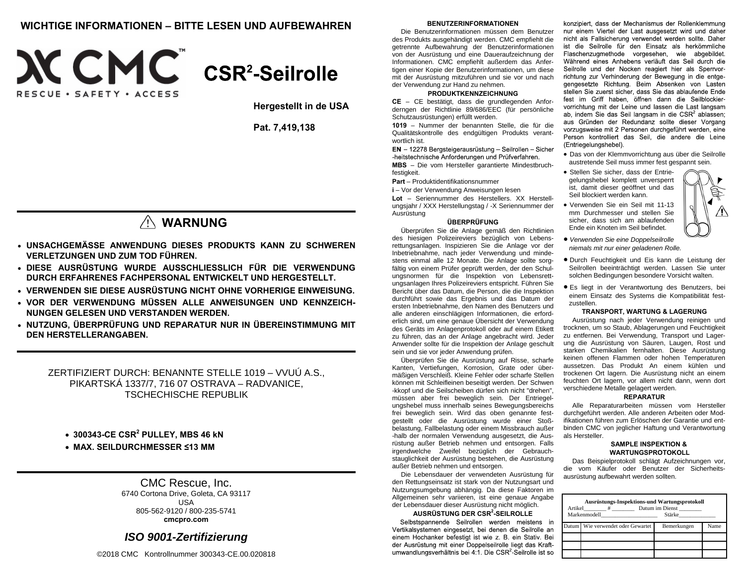### **WICHTIGE INFORMATIONEN – BITTE LESEN UND AUFBEWAHREN BENUTZERINFORMATIONEN**





**Hergestellt in de USA** 

**Pat. 7,419,138** 

# **WARNUNG**

- **UNSACHGEMÄSSE ANWENDUNG DIESES PRODUKTS KANN ZU SCHWEREN VERLETZUNGEN UND ZUM TOD FÜHREN.**
- **DIESE AUSRÜSTUNG WURDE AUSSCHLIESSLICH FÜR DIE VERWENDUNG DURCH ERFAHRENES FACHPERSONAL ENTWICKELT UND HERGESTELLT.**
- **VERWENDEN SIE DIESE AUSRÜSTUNG NICHT OHNE VORHERIGE EINWEISUNG.**
- **VOR DER VERWENDUNG MÜSSEN ALLE ANWEISUNGEN UND KENNZEICH-NUNGEN GELESEN UND VERSTANDEN WERDEN.**
- **NUTZUNG, ÜBERPRÜFUNG UND REPARATUR NUR IN ÜBEREINSTIMMUNG MIT DEN HERSTELLERANGABEN.**

ZERTIFIZIERT DURCH: BENANNTE STELLE 1019 – VVUÚ A.S., PIKARTSKÁ 1337/7, 716 07 OSTRAVA – RADVANICE, TSCHECHISCHE REPUBLIK

**300343-CE CSR2 PULLEY, MBS 46 kN**

**MAX. SEILDURCHMESSER ≤13 MM**

### CMC Rescue, Inc.

6740 Cortona Drive, Goleta, CA 93117 USA 805-562-9120 / 800-235-5741 **cmcpro.com** 

### *ISO 9001-Zertifizierung*

©2018 CMC Kontrollnummer 300343-CE.00.020818

Die Benutzerinformationen müssen dem Benutzer des Produkts ausgehändigt werden. CMC empfiehlt die getrennte Aufbewahrung der Benutzerinformationen von der Ausrüstung und eine Daueraufzeichnung der Informationen. CMC empfiehlt außerdem das Anfertigen einer Kopie der Benutzerinformationen, um diese mit der Ausrüstung mitzuführen und sie vor und nach der Verwendung zur Hand zu nehmen.

### **PRODUKTKENNZEICHNUNG**

**CE** – CE bestätigt, dass die grundlegenden Anforderngen der Richtlinie 89/686/EEC (für persönliche Schutzausrüstungen) erfüllt werden.

**1019** – Nummer der benannten Stelle, die für die Qualitätskontrolle des endgültigen Produkts verantwortlich ist.

EN - 12278 Bergsteigerausrüstung - Seilrollen - Sicher -heitstechnische Anforderungen und Prüfverfahren. **MBS** – Die vom Hersteller garantierte Mindestbruch-

festigkeit.

**Part** – Produktidentifikationsnummer

**i** – Vor der Verwendung Anweisungen lesen

**Lot** – Seriennummer des Herstellers. XX Herstellungsjahr / XXX Herstellungstag / -X Seriennummer der Ausrüstung

#### **ÜBERPRÜFUNG**

Überprüfen Sie die Anlage gemäß den Richtlinien des hiesigen Polizeireviers bezüglich von Lebensrettungsanlagen. Inspizieren Sie die Anlage vor der Inbetriebnahme, nach jeder Verwendung und mindestens einmal alle 12 Monate. Die Anlage sollte sorgfältig von einem Prüfer geprüft werden, der den Schulungsnormen für die Inspektion von Lebensrettungsanlagen Ihres Polizeireviers entspricht. Führen Sie Bericht über das Datum, die Person, die die Inspektion durchführt sowie das Ergebnis und das Datum der ersten Inbetriebnahme, den Namen des Benutzers und alle anderen einschlägigen Informationen, die erforderlich sind, um eine genaue Übersicht der Verwendung des Geräts im Anlagenprotokoll oder auf einem Etikett zu führen, das an der Anlage angebracht wird. Jeder Anwender sollte für die Inspektion der Anlage geschult sein und sie vor jeder Anwendung prüfen.

Überprüfen Sie die Ausrüstung auf Risse, scharfe Kanten, Vertiefungen, Korrosion, Grate oder übermäßigen Verschleiß. Kleine Fehler oder scharfe Stellen können mit Schleifleinen beseitigt werden. Der Schwen -kkopf und die Seilscheiben dürfen sich nicht "drehen", müssen aber frei beweglich sein. Der Entriegelungshebel muss innerhalb seines Bewegungsbereichs frei beweglich sein. Wird das oben genannte festgestellt oder die Ausrüstung wurde einer Stoßbelastung, Fallbelastung oder einem Missbrauch außer -halb der normalen Verwendung ausgesetzt, die Ausrüstung außer Betrieb nehmen und entsorgen. Falls irgendwelche Zweifel bezüglich der Gebrauchstauglichkeit der Ausrüstung bestehen, die Ausrüstung außer Betrieb nehmen und entsorgen.

Die Lebensdauer der verwendeten Ausrüstung für den Rettungseinsatz ist stark von der Nutzungsart und Nutzungsumgebung abhängig. Da diese Faktoren im Allgemeinen sehr variieren, ist eine genaue Angabe der Lebensdauer dieser Ausrüstung nicht möglich.

### **AUSRÜSTUNG DER CSR2-SEILROLLE**

Selbstspannende Seilrollen werden meistens in Vertikalsystemen eingesetzt, bei denen die Seilrolle an einem Hochanker befestigt ist wie z. B. ein Stativ. Bei der Ausrüstung mit einer Doppelseilrolle liegt das Kraftumwandlungsverhältnis bei 4:1. Die CSR<sup>2</sup> Seilrolle ist so

konzipiert, dass der Mechanismus der Rollenklemmung nur einem Viertel der Last ausgesetzt wird und daher nicht als Fallsicherung verwendet werden sollte. Daher ist die Seilrolle für den Einsatz als herkömmliche Flaschenzugmethode vorgesehen, wie abgebildet. Während eines Anhebens verläuft das Seil durch die Seilrolle und der Nocken reagiert hier als Sperrvorrichtung zur Verhinderung der Bewegung in die entgegengesetzte Richtung. Beim Absenken von Lasten stellen Sie zuerst sicher, dass Sie das ablaufende Ende fest im Griff haben, öffnen dann die Seilblockiervorrichtung mit der Leine und lassen die Last langsam ab, indem Sie das Seil langsam in die CSR<sup>2</sup> ablassen; aus Gründen der Redundanz sollte dieser Vorgang vorzugsweise mit 2 Personen durchgeführt werden, eine Person kontrolliert das Seil, die andere die Leine (Entriegelungshebel).

- Das von der Klemmvorrichtung aus über die Seilrolle austretende Seil muss immer fest gespannt sein.
- Stellen Sie sicher, dass der Entriegelungshebel komplett unversperrt ist, damit dieser geöffnet und das Seil blockiert werden kann.
- Verwenden Sie ein Seil mit 11-13 mm Durchmesser und stellen Sie sicher, dass sich am ablaufenden Ende ein Knoten im Seil befindet.
- *Verwenden Sie eine Doppelseilrolle niemals mit nur einer geladenen Rolle.*
- Durch Feuchtigkeit und Eis kann die Leistung der Seilrollen beeinträchtigt werden. Lassen Sie unter solchen Bedingungen besondere Vorsicht walten.
- Es liegt in der Verantwortung des Benutzers, bei einem Einsatz des Systems die Kompatibilität festzustellen.

#### **TRANSPORT, WARTUNG & LAGERUNG**

Ausrüstung nach jeder Verwendung reinigen und trocknen, um so Staub, Ablagerungen und Feuchtigkeit zu entfernen. Bei Verwendung, Transport und Lagerung die Ausrüstung von Säuren, Laugen, Rost und starken Chemikalien fernhalten. Diese Ausrüstung keinen offenen Flammen oder hohen Temperaturen aussetzen. Das Produkt An einem kühlen und trockenen Ort lagern. Die Ausrüstung nicht an einem feuchten Ort lagern, vor allem nicht dann, wenn dort verschiedene Metalle gelagert werden.

#### **REPARATUR**

Alle Reparaturarbeiten müssen vom Hersteller durchgeführt werden. Alle anderen Arbeiten oder Modifikationen führen zum Erlöschen der Garantie und entbinden CMC von jeglicher Haftung und Verantwortung als Hersteller.

### **SAMPLE INSPEKTION & WARTUNGSPROTOKOLL**

Das Beispielprotokoll schlägt Aufzeichnungen vor, die vom Käufer oder Benutzer der Sicherheitsausrüstung aufbewahrt werden sollten.

| Ausrüstungs-Inspektions-und Wartungsprotokoll<br>Artikel # Datum im Dienst<br>Markenmodell<br><b>Stärke</b> |                                   |             |      |  |  |  |
|-------------------------------------------------------------------------------------------------------------|-----------------------------------|-------------|------|--|--|--|
|                                                                                                             | Datum Wie verwendet oder Gewartet | Bemerkungen | Name |  |  |  |
|                                                                                                             |                                   |             |      |  |  |  |
|                                                                                                             |                                   |             |      |  |  |  |
|                                                                                                             |                                   |             |      |  |  |  |

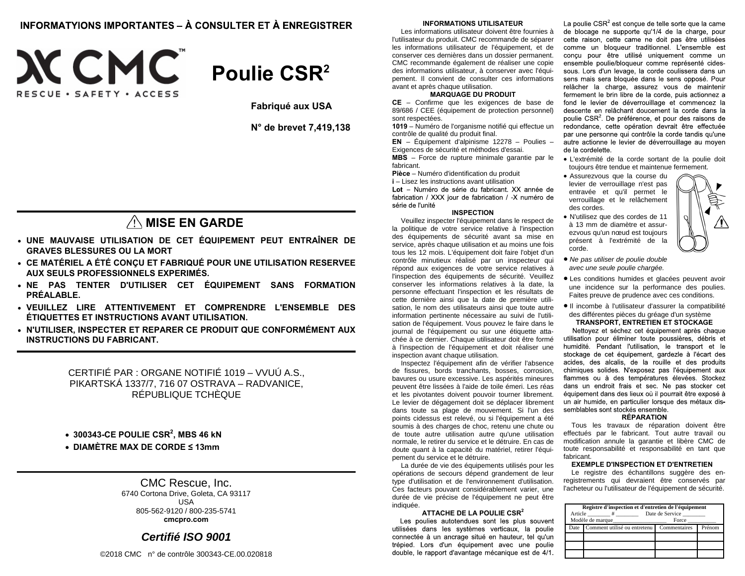### INFORMATYIONS IMPORTANTES – À CONSULTER ET À ENREGISTRER





**Fabriqué aux USA** 

**N° de brevet 7,419,138** 

## A MISE EN GARDE

- **UNE MAUVAISE UTILISATION DE CET ÉQUIPEMENT PEUT ENTRAÎNER DE GRAVES BLESSURES OU LA MORT**
- **CE MATÉRIEL A ÉTÉ CONÇU ET FABRIQUÉ POUR UNE UTILISATION RESERVEE AUX SEULS PROFESSIONNELS EXPERIMÉS.**
- **NE PAS TENTER D'UTILISER CET ÉQUIPEMENT SANS FORMATION PRÉALABLE.**
- **VEUILLEZ LIRE ATTENTIVEMENT ET COMPRENDRE L'ENSEMBLE DES ÉTIQUETTES ET INSTRUCTIONS AVANT UTILISATION.**
- **N'UTILISER, INSPECTER ET REPARER CE PRODUIT QUE CONFORMÉMENT AUX INSTRUCTIONS DU FABRICANT.**

CERTIFIÉ PAR : ORGANE NOTIFIÉ 1019 – VVUÚ A.S., PIKARTSKÁ 1337/7, 716 07 OSTRAVA – RADVANICE, RÉPUBLIQUE TCHÈQUE

**300343-CE POULIE CSR2, MBS 46 kN**

**DIAMÈTRE MAX DE CORDE ≤ 13mm** 

### CMC Rescue, Inc.

6740 Cortona Drive, Goleta, CA 93117 USA 805-562-9120 / 800-235-5741 **cmcpro.com** 

### *Certifié ISO 9001*

©2018 CMC n° de contrôle 300343-CE.00.020818

#### **INFORMATIONS UTILISATEUR**

Les informations utilisateur doivent être fournies à l'utilisateur du produit. CMC recommande de séparer les informations utilisateur de l'équipement, et de conserver ces dernières dans un dossier permanent. CMC recommande également de réaliser une copie des informations utilisateur, à conserver avec l'équipement. Il convient de consulter ces informations avant et après chaque utilisation.

### **MARQUAGE DU PRODUIT**

**CE** – Confirme que les exigences de base de 89/686 / CEE (équipement de protection personnel) sont respectées.

**1019** – Numéro de l'organisme notifié qui effectue un contrôle de qualité du produit final.

**EN** – Équipement d'alpinisme 12278 – Poulies – Exigences de sécurité et méthodes d'essai.

**MBS** – Force de rupture minimale garantie par le fabricant.

**Pièce** – Numéro d'identification du produit

**i** – Lisez les instructions avant utilisation Lot - Numéro de série du fabricant. XX année de fabrication / XXX jour de fabrication / -X numéro de série de l'unité

#### **INSPECTION**

Veuillez inspecter l'équipement dans le respect de la politique de votre service relative à l'inspection des équipements de sécurité avant sa mise en service, après chaque utilisation et au moins une fois tous les 12 mois. L'équipement doit faire l'objet d'un contrôle minutieux réalisé par un inspecteur qui répond aux exigences de votre service relatives à l'inspection des équipements de sécurité. Veuillez conserver les informations relatives à la date, la personne effectuant l'inspection et les résultats de cette dernière ainsi que la date de première utilisation, le nom des utilisateurs ainsi que toute autre information pertinente nécessaire au suivi de l'utilisation de l'équipement. Vous pouvez le faire dans le journal de l'équipement ou sur une étiquette attachée à ce dernier. Chaque utilisateur doit être formé à l'inspection de l'équipement et doit réaliser une inspection avant chaque utilisation.

Inspectez l'équipement afin de vérifier l'absence de fissures, bords tranchants, bosses, corrosion, bavures ou usure excessive. Les aspérités mineures peuvent être lissées à l'aide de toile émeri. Les réas et les pivotantes doivent pouvoir tourner librement. Le levier de dégagement doit se déplacer librement dans toute sa plage de mouvement. Si l'un des points cidessus est relevé, ou si l'équipement a été soumis à des charges de choc, retenu une chute ou de toute autre utilisation autre qu'une utilisation normale, le retirer du service et le détruire. En cas de doute quant à la capacité du matériel, retirer l'équipement du service et le détruire.

La durée de vie des équipements utilisés pour les opérations de secours dépend grandement de leur type d'utilisation et de l'environnement d'utilisation. Ces facteurs pouvant considérablement varier, une durée de vie précise de l'équipement ne peut être indiquée.

### **ATTACHE DE LA POULIE CSR<sup>2</sup>**

Les poulies autotendues sont les plus souvent utilisées dans les systèmes verticaux, la poulie connectée à un ancrage situé en hauteur, tel qu'un trépied. Lors d'un équipement avec une poulie double, le rapport d'avantage mécanique est de 4/1.

La poulie CSR<sup>2</sup> est conçue de telle sorte que la came de blocage ne supporte qu'1/4 de la charge, pour cette raison, cette came ne doit pas être utilisées comme un bloqueur traditionnel. L'ensemble est concu pour être utilisé uniquement comme un ensemble poulie/bloqueur comme représenté cidessous. Lors d'un levage, la corde coulissera dans un sens mais sera bloquée dans le sens opposé. Pour relâcher la charge, assurez vous de maintenir fermement le brin libre de la corde, puis actionnez a fond le levier de déverrouillage et commencez la descente en relâchant doucement la corde dans la poulie CSR<sup>2</sup>. De préférence, et pour des raisons de redondance, cette opération devrait être effectuée par une personne qui contrôle la corde tandis qu'une autre actionne le levier de déverrouillage au moyen de la cordelette.

- L'extrémité de la corde sortant de la poulie doit toujours être tendue et maintenue fermement.
- Assurezvous que la course du levier de verrouillage n'est pas entravée et qu'il permet le verrouillage et le relâchement des cordes.
- N'utilisez que des cordes de 11 à 13 mm de diamètre et assurezvous qu'un nœud est toujours présent à l'extrémité de la corde.
- *Ne pas utiliser de poulie double avec une seule poulie chargée.*
- Les conditions humides et glacées peuvent avoir une incidence sur la performance des poulies. Faites preuve de prudence avec ces conditions.
- Il incombe à l'utilisateur d'assurer la compatibilité des différentes pièces du gréage d'un système **TRANSPORT, ENTRETIEN ET STOCKAGE**

Nettoyez et séchez cet équipement après chaque utilisation pour éliminer toute poussières, débris et humidité. Pendant l'utilisation, le transport et le stockage de cet équipement, gardezle à l'écart des acides, des alcalis, de la rouille et des produits chimiques solides. N'exposez pas l'équipement aux flammes ou à des températures élevées. Stockez dans un endroit frais et sec. Ne pas stocker cet équipement dans des lieux où il pourrait être exposé à un air humide, en particulier lorsque des métaux dissemblables sont stockés ensemble.

### **RÉPARATION**

Tous les travaux de réparation doivent être effectués par le fabricant. Tout autre travail ou modification annule la garantie et libère CMC de toute responsabilité et responsabilité en tant que fabricant.

#### **EXEMPLE D'INSPECTION ET D'ENTRETIEN**

Le registre des échantillons suggère des enregistrements qui devraient être conservés par l'acheteur ou l'utilisateur de l'équipement de sécurité.

| Registre d'inspection et d'entretien de l'équipement |                                                |                 |        |  |  |  |
|------------------------------------------------------|------------------------------------------------|-----------------|--------|--|--|--|
| Article                                              | $\#$ and $\#$ and $\#$                         | Date de Service |        |  |  |  |
| Modèle de marque                                     |                                                | Force           |        |  |  |  |
|                                                      | Date Comment utilisé ou entretenu Commentaires |                 | Prénom |  |  |  |
|                                                      |                                                |                 |        |  |  |  |
|                                                      |                                                |                 |        |  |  |  |
|                                                      |                                                |                 |        |  |  |  |
|                                                      |                                                |                 |        |  |  |  |